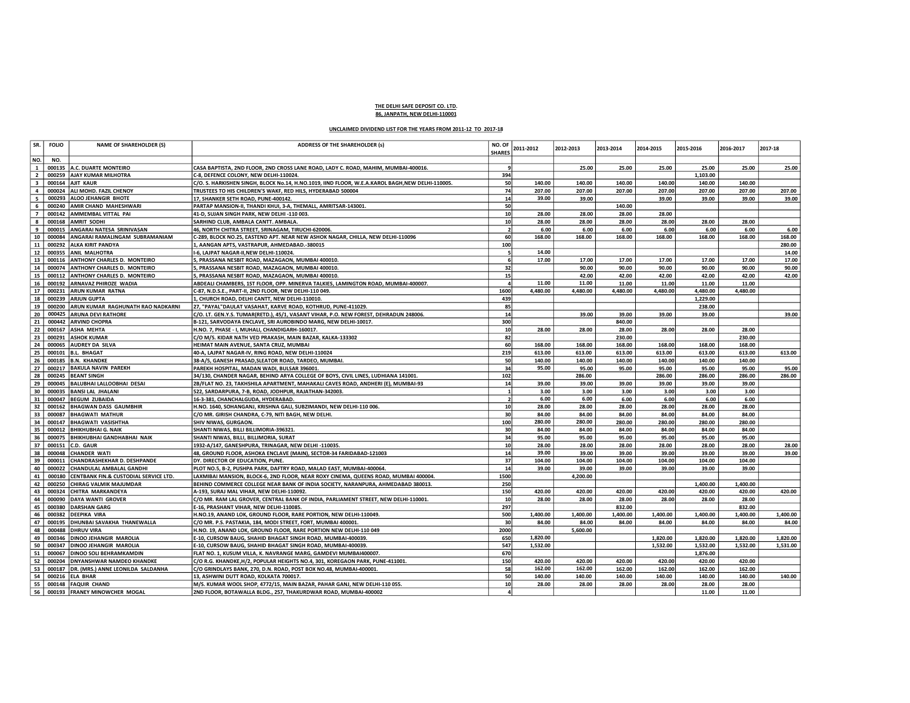## THE DELHI SAFE DEPOSIT CO. LTD. 86, JANPATH, NEW DELHI-110001

## UNCLAIMED DIVIDEND LIST FOR THE YEARS FROM 2011-12 TO 2017-18

| SR.                     | <b>FOLIO</b> | <b>NAME OF SHAREHOLDER (S)</b>                            | <b>ADDRESS OF THE SHAREHOLDER (s)</b>                                                                                        | NO. OF          | 2011-2012 | 2012-2013 | 2013-2014 | 2014-2015 | 2015-2016         | 2016-2017 | 2017-18  |
|-------------------------|--------------|-----------------------------------------------------------|------------------------------------------------------------------------------------------------------------------------------|-----------------|-----------|-----------|-----------|-----------|-------------------|-----------|----------|
|                         |              |                                                           |                                                                                                                              | <b>SHARES</b>   |           |           |           |           |                   |           |          |
| NO.<br>$\mathbf{1}$     | NO.          |                                                           |                                                                                                                              |                 |           |           |           |           |                   |           |          |
| $\overline{2}$          |              | 000135 A.C. DUARTE MONTEIRO<br>000259 AJAY KUMAR MILHOTRA | CASA BAPTISTA, 2ND FLOOR, 2ND CROSS LANE ROAD, LADY C. ROAD, MAHIM, MUMBAI-400016.<br>C-8, DEFENCE COLONY, NEW DELHI-110024. | 394             |           | 25.00     | 25.00     | 25.00     | 25.00<br>1,103.00 | 25.00     | 25.00    |
| $\overline{\mathbf{3}}$ |              | 000164 AJIT KAUR                                          | C/O. S. HARKISHEN SINGH, BLOCK No.14, H.NO.1019, IIND FLOOR, W.E.A.KAROL BAGH, NEW DELHI-110005.                             | 50              | 140.00    | 140.00    | 140.00    | 140.00    | 140.00            | 140.00    |          |
| $\overline{4}$          | 000024       | ALI MOHD. FAZIL CHENOY                                    | TRUSTEES TO HIS CHILDREN'S WAKF, RED HILS, HYDERABAD 500004                                                                  | 74              | 207.00    | 207.00    | 207.00    | 207.00    | 207.00            | 207.00    | 207.00   |
| 5                       | 000293       | <b>ALOO JEHANGIR BHOTE</b>                                | 17. SHANKER SETH ROAD. PUNE-400142.                                                                                          | 14              | 39.00     | 39.00     |           | 39.00     | 39.00             | 39.00     | 39.00    |
|                         | 000240       | AMIR CHAND MAHESHWARI                                     | PARTAP MANSION-II, THANDI KHUI, 3-A, THEMALL, AMRITSAR-143001.                                                               | 50              |           |           | 140.00    |           |                   |           |          |
| $\overline{7}$          | 000142       | AMMEMBAL VITTAL PAI                                       | 41-D, SUJAN SINGH PARK, NEW DELHI -110 003.                                                                                  | 10 <sup>1</sup> | 28.00     | 28.00     | 28.00     | 28.00     |                   |           |          |
| $\mathbf{g}$            | 000168       | <b>AMRIT SODHI</b>                                        | SARHIND CLUB, AMBALA CANTT. AMBALA.                                                                                          | 10 <sup>1</sup> | 28.00     | 28.00     | 28.00     | 28.00     | 28.00             | 28.00     |          |
| 9                       | 000015       | ANGARAI NATESA SRINIVASAN                                 | 46, NORTH CHITRA STREET, SRINAGAM, TIRUCHI-620006.                                                                           | $\overline{2}$  | 6.00      | 6.00      | 6.00      | 6.00      | 6.00              | 6.00      | 6.00     |
| 10                      | 000084       | ANGARAI RAMALINGAM SUBRAMANIAM                            | C-289, BLOCK NO.25, EASTEND APT. NEAR NEW ASHOK NAGAR, CHILLA, NEW DELHI-110096                                              | 60 <sub>1</sub> | 168.00    | 168.00    | 168.00    | 168.00    | 168.00            | 168.00    | 168.00   |
| 11                      | 000292       | <b>ALKA KIRIT PANDYA</b>                                  | 1, AANGAN APTS, VASTRAPUR, AHMEDABAD.-380015                                                                                 | 100             |           |           |           |           |                   |           | 280.00   |
| 12                      | 000355       | <b>ANIL MALHOTRA</b>                                      | I-6, LAJPAT NAGAR-II, NEW DELHI-110024.                                                                                      | 5               | 14.00     |           |           |           |                   |           | 14.00    |
| 13                      | 000116       | <b>ANTHONY CHARLES D. MONTEIRO</b>                        | 5, PRASSANA NESBIT ROAD, MAZAGAON, MUMBAI 400010.                                                                            | 6               | 17.00     | 17.00     | 17.00     | 17.00     | 17.00             | 17.00     | 17.00    |
| 14                      |              | 000074 ANTHONY CHARLES D. MONTEIRO                        | , PRASSANA NESBIT ROAD, MAZAGAON, MUMBAI 400010.                                                                             | 32              |           | 90.00     | 90.00     | 90.00     | 90.00             | 90.00     | 90.00    |
| 15                      | 000112       | <b>ANTHONY CHARLES D. MONTEIRO</b>                        | 5, PRASSANA NESBIT ROAD, MAZAGAON, MUMBAI 400010                                                                             | 15              |           | 42.00     | 42.00     | 42.00     | 42.00             | 42.00     | 42.00    |
| 16                      | 000192       | ARNAVAZ PHIROZE WADIA                                     | ABDEALI CHAMBERS, 1ST FLOOR, OPP. MINERVA TALKIES, LAMINGTON ROAD, MUMBAI-400007.                                            | $\overline{a}$  | 11.00     | 11.00     | 11.00     | 11.00     | 11.00             | 11.00     |          |
| 17                      | 000231       | <b>ARUN KUMAR RATNA</b>                                   | C-87, N.D.S.E., PART-II, 2ND FLOOR, NEW DELHI-110 049.                                                                       | 1600            | 4,480.00  | 4,480.00  | 4,480.00  | 4,480.00  | 4,480.00          | 4,480.00  |          |
| 18                      | 000239       | <b>ARJUN GUPTA</b>                                        | 1, CHURCH ROAD, DELHI CANTT, NEW DELHI-110010.                                                                               | 439             |           |           |           |           | 1,229.00          |           |          |
| 19                      | 000200       | ARUN KUMAR RAGHUNATH RAO NADKARNI                         | 27, "PAYAL"DAULAT VASAHAT, KARVE ROAD, KOTHRUD, PUNE-411029.                                                                 | 85              |           |           |           |           | 238.00            |           |          |
| 20                      | 000425       | <b>ARUNA DEVI RATHORE</b>                                 | C/O. LT. GEN.Y.S. TUMAR(RETD.), 45/1, VASANT VIHAR, P.O. NEW FOREST, DEHRADUN 248006.                                        | 14              |           | 39.00     | 39.00     | 39.00     | 39.00             |           | 39.00    |
| 21                      |              | 000442 ARVIND CHOPRA                                      | B-121, SARVODAYA ENCLAVE, SRI AUROBINDO MARG, NEW DELHI-10017.                                                               | 300             |           |           | 840.00    |           |                   |           |          |
| 22                      | 000167       | <b>ASHA MEHTA</b>                                         | H.NO. 7, PHASE - I, MUHALI, CHANDIGARH-160017.                                                                               | 10 <sup>1</sup> | 28.00     | 28.00     | 28.00     | 28.00     | 28.00             | 28.00     |          |
| 23                      | 000291       | <b>ASHOK KUMAR</b>                                        | C/O M/S. KIDAR NATH VED PRAKASH, MAIN BAZAR, KALKA-133302                                                                    | 82              |           |           | 230.00    |           |                   | 230.00    |          |
| 24                      | 000065       | <b>AUDREY DA SILVA</b>                                    | HEIMAT MAIN AVENUE, SANTA CRUZ, MUMBAI                                                                                       | 60              | 168.00    | 168.00    | 168.00    | 168.00    | 168.00            | 168.00    |          |
| 25                      |              | 000101 B.L. BHAGAT                                        | 40-A, LAJPAT NAGAR-IV, RING ROAD, NEW DELHI-110024                                                                           | 219             | 613.00    | 613.00    | 613.00    | 613.00    | 613.00            | 613.00    | 613.00   |
| 26                      | 000185       | <b>B.N. KHANDKE</b>                                       | 38-A/5, GANESH PRASAD, SLEATOR ROAD, TARDEO, MUMBAI.                                                                         | 50              | 140.00    | 140.00    | 140.00    | 140.00    | 140.00            | 140.00    |          |
| 27                      |              | 000217 BAKULA NAVIN PAREKH                                | PAREKH HOSPITAL, MADAN WADI, BULSAR 396001.                                                                                  | 34              | 95.00     | 95.00     | 95.00     | 95.00     | 95.00             | 95.00     | 95.00    |
| 28                      | 000245       | <b>BEANT SINGH</b>                                        | 34/130, CHANDER NAGAR, BEHIND ARYA COLLEGE OF BOYS, CIVIL LINES, LUDHIANA 141001.                                            | 102             |           | 286.00    |           | 286.00    | 286.00            | 286.00    | 286.00   |
| 29                      | 000045       | BALUBHAI LALLOOBHAI DESAI                                 | 2B/FLAT NO. 23, TAKHSHILA APARTMENT, MAHAKALI CAVES ROAD, ANDHERI (E), MUMBAI-93                                             | 14              | 39.00     | 39.00     | 39.00     | 39.00     | 39.00             | 39.00     |          |
| 30                      | 000035       | <b>BANSI LAL JHALANI</b>                                  | 522, SARDARPURA, 7-B, ROAD, JODHPUR, RAJATHAN-342003.                                                                        | $\mathbf{1}$    | 3.00      | 3.00      | 3.00      | 3.00      | 3.00              | 3.00      |          |
| 31                      | 000047       | <b>BEGUM ZUBAIDA</b>                                      | 16-3-381, CHANCHALGUDA, HYDERABAD.                                                                                           | $\overline{2}$  | 6.00      | 6.00      | 6.00      | 6.00      | 6.00              | 6.00      |          |
| 32                      | 000162       | <b>BHAGWAN DASS GAUMBHIR</b>                              | H.NO. 1640, SOHANGANJ, KRISHNA GALI, SUBZIMANDI, NEW DELHI-110 006.                                                          | 10 <sup>1</sup> | 28.00     | 28.00     | 28.00     | 28.00     | 28.00             | 28.00     |          |
| 33                      | 000087       | <b>BHAGWATI MATHUR</b>                                    | C/O MR. GIRISH CHANDRA, C-79, NITI BAGH, NEW DELHI.                                                                          | 30              | 84.00     | 84.00     | 84.00     | 84.00     | 84.00             | 84.00     |          |
| 34                      |              | 000147 BHAGWATI VASISHTHA                                 | <b>SHIV NIWAS, GURGAON.</b>                                                                                                  | 100             | 280.00    | 280.00    | 280.00    | 280.00    | 280.00            | 280.00    |          |
| 35                      | 000012       | <b>BHIKHUBHAI G. NAIK</b>                                 | SHANTI NIWAS, BILLI BILLIMORIA-396321.                                                                                       | 30              | 84.00     | 84.00     | 84.00     | 84.00     | 84.00             | 84.00     |          |
| 36                      | 000075       | <b>BHIKHUBHAI GANDHABHAI NAIK</b>                         | SHANTI NIWAS, BILLI, BILLIMORIA, SURAT                                                                                       | 34              | 95.00     | 95.00     | 95.00     | 95.00     | 95.00             | 95.00     |          |
| 37                      | 000151       | C.D. GAUR                                                 | 1932-A/147, GANESHPURA, TRINAGAR, NEW DELHI -110035.                                                                         | 10 <sup>1</sup> | 28.00     | 28.00     | 28.00     | 28.00     | 28.00             | 28.00     | 28.00    |
| 38                      |              | 000048 CHANDER WATI                                       | 48, GROUND FLOOR, ASHOKA ENCLAVE (MAIN), SECTOR-34 FARIDABAD-121003                                                          | 14              | 39.00     | 39.00     | 39.00     | 39.00     | 39.00             | 39.00     | 39.00    |
| 39                      | 000011       | <b>CHANDRASHEKHAR D. DESHPANDE</b>                        | DY. DIRECTOR OF EDUCATION, PUNE.                                                                                             | 37              | 104.00    | 104.00    | 104.00    | 104.00    | 104.00            | 104.00    |          |
| 40                      |              | 000022 CHANDULAL AMBALAL GANDHI                           | PLOT NO.5, B-2, PUSHPA PARK, DAFTRY ROAD, MALAD EAST, MUMBAI-400064.                                                         | 14              | 39.00     | 39.00     | 39.00     | 39.00     | 39.00             | 39.00     |          |
| 41                      | 000180       | CENTBANK FIN.& CUSTODIAL SERVICE LTD.                     | LAXMIBAI MANSION, BLOCK-6, 2ND FLOOR, NEAR ROXY CINEMA, QUEENS ROAD, MUMBAI 400004.                                          | 1500            |           | 4,200.00  |           |           |                   |           |          |
| 42                      | 000250       | <b>CHIRAG VALMIK MAJUMDAR</b>                             | BEHIND COMMERCE COLLEGE NEAR BANK OF INDIA SOCIETY, NARANPURA, AHMEDABAD 380013.                                             | 250             |           |           |           |           | 1,400.00          | 1.400.00  |          |
| 43                      | 000324       | CHITRA MARKANDEYA                                         | A-193, SURAJ MAL VIHAR, NEW DELHI-110092.                                                                                    | 150             | 420.00    | 420.00    | 420.00    | 420.00    | 420.00            | 420.00    | 420.00   |
| 44                      | 000090       | <b>DAYA WANTI GROVER</b>                                  | C/O MR. RAM LAL GROVER, CENTRAL BANK OF INDIA, PARLIAMENT STREET, NEW DELHI-110001.                                          | 10              | 28.00     | 28.00     | 28.00     | 28.00     | 28.00             | 28.00     |          |
| 45                      | 000380       | <b>DARSHAN GARG</b>                                       | E-16. PRASHANT VIHAR. NEW DELHI-110085.                                                                                      | 297             |           |           | 832.00    |           |                   | 832.00    |          |
| 46                      | 000382       | <b>DEEPIKA VIRA</b>                                       | H.NO.19, ANAND LOK, GROUND FLOOR, RARE PORTION, NEW DELHI-110049.                                                            | 500             | 1,400.00  | 1,400.00  | 1,400.00  | 1,400.00  | 1,400.00          | 1,400.00  | 1,400.00 |
| 47                      | 000195       | <b>DHUNBAI SAVAKHA THANEWALLA</b>                         | C/O MR. P.S. PASTAKIA, 184, MODI STREET, FORT, MUMBAI 400001.                                                                | 30 <sup>1</sup> | 84.00     | 84.00     | 84.00     | 84.00     | 84.00             | 84.00     | 84.00    |
| 48                      | 000488       | <b>DHRUV VIRA</b>                                         | H.NO. 19, ANAND LOK, GROUND FLOOR, RARE PORTION NEW DELHI-110 049                                                            | 2000            |           | 5,600.00  |           |           |                   |           |          |
| 49                      | 000346       | <b>DINOO JEHANGIR MAROLIA</b>                             | E-10, CURSOW BAUG, SHAHID BHAGAT SINGH ROAD, MUMBAI-400039.                                                                  | 650             | 1,820.00  |           |           | 1,820.00  | 1,820.00          | 1,820.00  | 1,820.00 |
| 50                      | 000347       | <b>DINOO JEHANGIR MAROLIA</b>                             | E-10, CURSOW BAUG, SHAHID BHAGAT SINGH ROAD, MUMBAI-400039.                                                                  | 547             | 1,532.00  |           |           | 1,532.00  | 1,532.00          | 1,532.00  | 1,531.00 |
| 51                      | 000067       | <b>DINOO SOLI BEHRAMKAMDIN</b>                            | FLAT NO. 1, KUSUM VILLA, K. NAVRANGE MARG, GAMDEVI MUMBAI400007.                                                             | 670             |           |           |           |           | 1,876.00          |           |          |
| 52                      | 000204       | <b>DNYANSHWAR NAMDEO KHANDKE</b>                          | C/O R.G. KHANDKE, H/2, POPULAR HEIGHTS NO.4, 301, KOREGAON PARK, PUNE-411001.                                                | 150             | 420.00    | 420.00    | 420.00    | 420.00    | 420.00            | 420.00    |          |
| 53                      | 000187       | DR. (MRS.) ANNE LEONILDA SALDANHA                         | C/O GRINDLAYS BANK, 270, D.N. ROAD, POST BOX NO.48, MUMBAI-400001.                                                           | 58              | 162.00    | 162.00    | 162.00    | 162.00    | 162.00            | 162.00    |          |
| 54                      | 000216       | <b>ELA BHAR</b>                                           | 13, ASHWINI DUTT ROAD, KOLKATA 700017.                                                                                       | 50              | 140.00    | 140.00    | 140.00    | 140.00    | 140.00            | 140.00    | 140.00   |
| 55                      |              | 000148 FAQUIR CHAND                                       | M/S. KUMAR WOOL SHOP, 4772/15, MAIN BAZAR, PAHAR GANJ, NEW DELHI-110 055.                                                    | 10 <sup>1</sup> | 28.00     | 28.00     | 28.00     | 28.00     | 28.00             | 28.00     |          |
| 56                      |              | 000193 FRANEY MINOWCHER MOGAL                             | 2ND FLOOR, BOTAWALLA BLDG., 257, THAKURDWAR ROAD, MUMBAI-400002                                                              | $\overline{a}$  |           |           |           |           | 11.00             | 11.00     |          |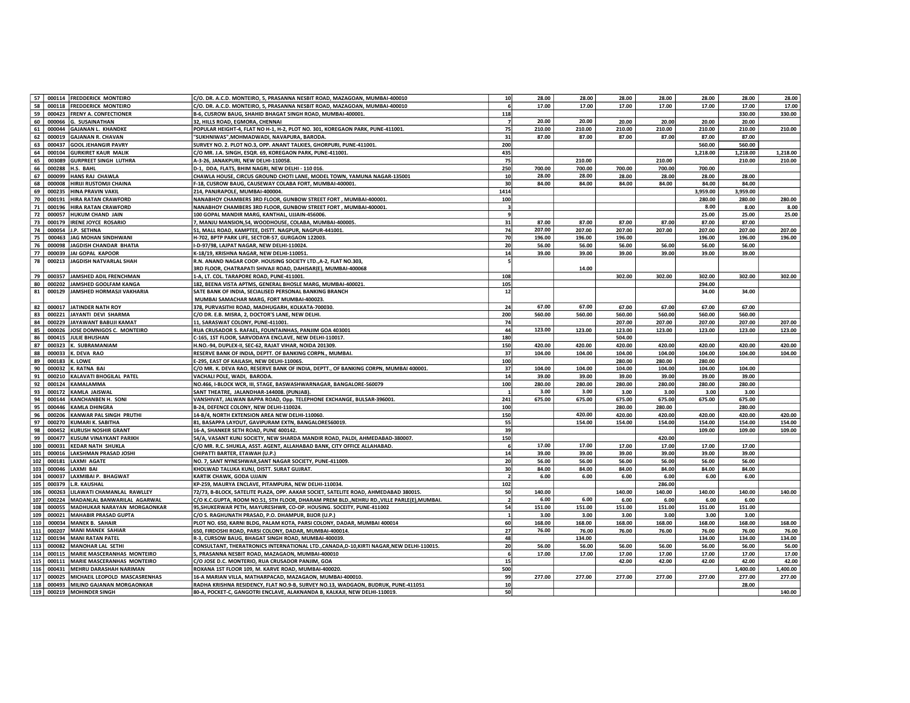| 57  |        | 000114 FREDDERICK MONTEIRO         | C/O. DR. A.C.D. MONTEIRO, 5, PRASANNA NESBIT ROAD, MAZAGOAN, MUMBAI-400010                | 10              | 28.00  | 28.00  | 28.00  | 28.00  | 28.00    | 28.00    | 28.00    |
|-----|--------|------------------------------------|-------------------------------------------------------------------------------------------|-----------------|--------|--------|--------|--------|----------|----------|----------|
|     |        |                                    |                                                                                           |                 |        |        |        |        |          |          |          |
| 58  |        | 000118 FREDDERICK MONTEIRO         | C/O. DR. A.C.D. MONTEIRO, 5, PRASANNA NESBIT ROAD, MAZAGOAN, MUMBAI-400010                | 6               | 17.00  | 17.00  | 17.00  | 17.00  | 17.00    | 17.00    | 17.00    |
| 59  |        | 000423 FRENY A. CONFECTIONER       | B-6, CUSROW BAUG, SHAHID BHAGAT SINGH ROAD, MUMBAI-400001.                                | 118             |        |        |        |        |          | 330.00   | 330.00   |
| 60  |        | 000066 G. SUSAINATHAN              | 32, HILLS ROAD, EGMORA, CHENNAI                                                           | 7               | 20.00  | 20.00  | 20.00  | 20.00  | 20.00    | 20.00    |          |
| 61  | 000044 | <b>GAJANAN L. KHANDKE</b>          | POPULAR HEIGHT-4, FLAT NO H-1, H-2, PLOT NO. 301, KOREGAON PARK, PUNE-411001.             | 75              | 210.00 | 210.00 | 210.00 | 210.00 | 210.00   | 210.00   | 210.00   |
| 62  | 000019 | <b>GAJANAN R. CHAVAN</b>           | "SUKHNIWAS", MOHMADWADI, NAVAPURA, BARODA.                                                | 31              | 87.00  | 87.00  | 87.00  | 87.00  | 87.00    | 87.00    |          |
|     | 000437 | <b>GOOL JEHANGIR PAVRY</b>         |                                                                                           | 200             |        |        |        |        | 560.00   | 560.00   |          |
| 63  |        |                                    | SURVEY NO. 2. PLOT NO.3, OPP. ANANT TALKIES, GHORPURI, PUNE-411001.                       |                 |        |        |        |        |          |          |          |
| 64  | 000104 | <b>GURKIRET KAUR MALIK</b>         | C/O MR. J.A. SINGH, ESQR. 69, KOREGAON PARK, PUNE-411001.                                 | 435             |        |        |        |        | 1,218.00 | 1,218.00 | 1,218.00 |
| 65  | 003089 | <b>GURPREET SINGH LUTHRA</b>       | A-3-26, JANAKPURI, NEW DELHI-110058.                                                      | 75              |        | 210.00 |        | 210.00 |          | 210.00   | 210.00   |
| 66  | 000288 | H.S. BAHL                          | D-1, DDA, FLATS, BHIM NAGRI, NEW DELHI - 110 016.                                         | 250             | 700.00 | 700.00 | 700.00 | 700.00 | 700.00   |          |          |
| 67  | 000099 | HANS RAJ CHAWLA                    | CHAWLA HOUSE, CIRCUS GROUND CHOTI LANE, MODEL TOWN, YAMUNA NAGAR-135001                   | 10 <sup>1</sup> | 28.00  | 28.00  | 28.00  | 28.00  | 28.00    | 28.00    |          |
| 68  | 000008 | HIRIJI RUSTOMJI CHAINA             | F-18, CUSROW BAUG, CAUSEWAY COLABA FORT, MUMBAI-400001.                                   | 30              | 84.00  | 84.00  | 84.00  | 84.00  | 84.00    | 84.00    |          |
|     |        |                                    |                                                                                           |                 |        |        |        |        |          |          |          |
| 69  | 000235 | <b>HINA PRAVIN VAKIL</b>           | 214, PANJRAPOLE, MUMBAI-400004.                                                           | 1414            |        |        |        |        | 3,959.00 | 3,959.00 |          |
| 70  | 000191 | <b>HIRA RATAN CRAWFORD</b>         | NANABHOY CHAMBERS 3RD FLOOR, GUNBOW STREET FORT, MUMBAI-400001.                           | 100             |        |        |        |        | 280.00   | 280.00   | 280.00   |
| 71  |        | 000196 HIRA RATAN CRAWFORD         | NANABHOY CHAMBERS 3RD FLOOR, GUNBOW STREET FORT, MUMBAI-400001.                           | $\vert$ 3       |        |        |        |        | 8.00     | 8.00     | 8.00     |
| 72  | 000057 | <b>HUKUM CHAND JAIN</b>            | 100 GOPAL MANDIR MARG, KANTHAL, UJJAIN-456006.                                            | 9               |        |        |        |        | 25.00    | 25.00    | 25.00    |
| 73  | 000179 | <b>IRENE JOYCE ROSARIO</b>         | 7, MANJU MANSION,54, WOODHOUSE, COLABA, MUMBAI-400005.                                    | 31              | 87.00  | 87.00  | 87.00  | 87.00  | 87.00    | 87.00    |          |
|     |        |                                    |                                                                                           |                 |        |        |        |        |          |          |          |
| 74  | 000054 | J.P. SETHNA                        | 51, MALL ROAD, KAMPTEE, DISTT. NAGPUR, NAGPUR-441001.                                     | 74              | 207.00 | 207.00 | 207.00 | 207.00 | 207.00   | 207.00   | 207.00   |
| 75  | 000463 | JAG MOHAN SINDHWANI                | H-702, BPTP PARK LIFE, SECTOR-57, GURGAON 122003.                                         | 70              | 196.00 | 196.00 | 196.00 |        | 196.00   | 196.00   | 196.00   |
| 76  | 000098 | JAGDISH CHANDAR BHATIA             | I-D-97/98, LAJPAT NAGAR, NEW DELHI-110024.                                                | 20              | 56.00  | 56.00  | 56.00  | 56.00  | 56.00    | 56.00    |          |
| 77  | 000039 | JAI GOPAL KAPOOR                   | K-18/19, KRISHNA NAGAR, NEW DELHI-110051                                                  | 14              | 39.00  | 39.00  | 39.00  | 39.00  | 39.00    | 39.00    |          |
| 78  | 000213 | JAGDISH NATVARLAL SHAH             | R.N. ANAND NAGAR COOP. HOUSING SOCIETY LTD., A-2, FLAT NO.303,                            | 5               |        |        |        |        |          |          |          |
|     |        |                                    | 3RD FLOOR, CHATRAPATI SHIVAJI ROAD, DAHISAR(E), MUMBAI-400068                             |                 |        | 14.00  |        |        |          |          |          |
|     |        |                                    |                                                                                           |                 |        |        |        |        |          |          |          |
| 79  | 000357 | JAMSHED ADIL FRENCHMAN             | 1-A, LT. COL. TARAPORE ROAD, PUNE-411001.                                                 | 108             |        |        | 302.00 | 302.00 | 302.00   | 302.00   | 302.00   |
| 80  | 000202 | JAMSHED GOOLFAM KANGA              | 182, BEENA VISTA APTMS, GENERAL BHOSLE MARG, MUMBAI-400021.                               | 105             |        |        |        |        | 294.00   |          |          |
| 81  | 000129 | JAMSHED HORMASJI VAKHARIA          | SATE BANK OF INDIA, SECIALISED PERSONAL BANKING BRANCH                                    | 12              |        |        |        |        | 34.00    | 34.00    |          |
|     |        |                                    | MUMBAI SAMACHAR MARG, FORT MUMBAI-400023                                                  |                 |        |        |        |        |          |          |          |
| 82  | 000017 | JATINDER NATH ROY                  | 378, PURVASITHI ROAD, MADHUGARH, KOLKATA-700030.                                          | 24              | 67.00  | 67.00  | 67.00  | 67.00  | 67.00    | 67.00    |          |
| 83  |        | 000221 JAYANTI DEVI SHARMA         |                                                                                           | 200             | 560.00 | 560.00 | 560.00 | 560.00 | 560.00   | 560.00   |          |
|     |        |                                    | C/O DR. E.B. MISRA, 2, DOCTOR'S LANE, NEW DELHI.                                          |                 |        |        |        |        |          |          |          |
| 84  | 000229 | JAYAWANT BABUJI KAMAT              | 11, SARASWAT COLONY, PUNE-411001                                                          | 74              |        |        | 207.00 | 207.00 | 207.00   | 207.00   | 207.00   |
| 85  | 000026 | JOSE DOMNIGOS C. MONTEIRO          | RUA CRUSADOR S. RAFAEL, FOUNTAINHAS, PANJIM GOA 403001                                    | 44              | 123.00 | 123.00 | 123.00 | 123.00 | 123.00   | 123.00   | 123.00   |
| 86  |        | 000415 JULIE BHUSHAN               | C-165, 1ST FLOOR, SARVODAYA ENCLAVE, NEW DELHI-110017.                                    | 180             |        |        | 504.00 |        |          |          |          |
| 87  | 000323 | K. SUBRAMANIAM                     | H.NO.-94, DUPLEX-II, SEC-62, RAJAT VIHAR, NOIDA 201309.                                   | 150             | 420.00 | 420.00 | 420.00 | 420.00 | 420.00   | 420.00   | 420.00   |
| 88  | 000033 | K. DEVA RAO                        | RESERVE BANK OF INDIA, DEPTT. OF BANKING CORPN., MUMBAI.                                  | 37              | 104.00 | 104.00 | 104.00 | 104.00 | 104.00   | 104.00   | 104.00   |
|     |        |                                    |                                                                                           |                 |        |        |        |        |          |          |          |
| 89  | 000183 | K. LOWE                            | E-295, EAST OF KAILASH, NEW DELHI-110065.                                                 | 100             |        |        | 280.00 | 280.00 | 280.00   |          |          |
| 90  |        | 000032 K. RATNA BAI                | C/O MR. K. DEVA RAO, RESERVE BANK OF INDIA, DEPTT., OF BANKING CORPN, MUMBAI 400001.      | 37              | 104.00 | 104.00 | 104.00 | 104.00 | 104.00   | 104.00   |          |
| 91  | 000210 | KALAVATI BHOGILAL PATEL            | VACHALI POLE, WADI, BARODA.                                                               | 14              | 39.00  | 39.00  | 39.00  | 39.00  | 39.00    | 39.00    |          |
| 92  | 000124 | <b>KAMALAMMA</b>                   | NO.466, I-BLOCK WCR, III, STAGE, BASWASHWARNAGAR, BANGALORE-560079                        | 100             | 280.00 | 280.00 | 280.00 | 280.00 | 280.00   | 280.00   |          |
| 93  | 000172 | KAMLA JAISWAL                      | SANT THEATRE, JALANDHAR-144008. (PUNJAB).                                                 | $\mathbf{1}$    | 3.00   | 3.00   | 3.00   | 3.00   | 3.00     | 3.00     |          |
| 94  | 000144 | <b>KANCHANBEN H. SONI</b>          | VANSHIVAT, JALWAN BAPPA ROAD, Opp. TELEPHONE EXCHANGE, BULSAR-396001.                     | 241             | 675.00 | 675.00 | 675.00 | 675.00 | 675.00   | 675.00   |          |
|     |        |                                    |                                                                                           |                 |        |        |        |        |          |          |          |
| 95  | 000446 | <b>KAMLA DHINGRA</b>               | B-24, DEFENCE COLONY, NEW DELHI-110024.                                                   | 100             |        |        | 280.00 | 280.00 |          | 280.00   |          |
| 96  |        | 000206 KANWAR PAL SINGH PRUTHI     | 14-B/4, NORTH EXTENSION AREA NEW DELHI-110060.                                            | 150             |        | 420.00 | 420.00 | 420.00 | 420.00   | 420.00   | 420.00   |
| 97  | 000270 | KUMARI K. SABITHA                  | 81, BASAPPA LAYOUT, GAVIPURAM EXTN, BANGALORE560019.                                      | 55              |        | 154.00 | 154.00 | 154.00 | 154.00   | 154.00   | 154.00   |
| 98  | 000452 | <b>KURUSH NOSHIR GRANT</b>         | 16-A, SHANKER SETH ROAD, PUNE 400142.                                                     | 39              |        |        |        |        | 109.00   | 109.00   | 109.00   |
| 99  | 000477 | KUSUM VINAYKANT PARIKH             | 54/A, VASANT KUNJ SOCIETY, NEW SHARDA MANDIR ROAD, PALDI, AHMEDABAD-380007.               | 150             |        |        |        | 420.00 |          |          |          |
|     |        |                                    |                                                                                           |                 | 17.00  | 17.00  |        |        |          |          |          |
| 100 |        | 000031 KEDAR NATH SHUKLA           | C/O MR. R.C. SHUKLA, ASST. AGENT, ALLAHABAD BANK, CITY OFFICE ALLAHABAD.                  | 6               |        |        | 17.00  | 17.00  | 17.00    | 17.00    |          |
| 101 | 000016 | <b>LAKSHMAN PRASAD JOSHI</b>       | CHIPATTI BARTER, ETAWAH (U.P.)                                                            | 14              | 39.00  | 39.00  | 39.00  | 39.00  | 39.00    | 39.00    |          |
| 102 | 000181 | LAXMI AGATE                        | NO. 7, SANT NYNESHWAR, SANT NAGAR SOCIETY, PUNE-411009.                                   | 20              | 56.00  | 56.00  | 56.00  | 56.00  | 56.00    | 56.00    |          |
| 103 | 000046 | LAXMI BAI                          | KHOLWAD TALUKA KUNJ, DISTT. SURAT GUJRAT.                                                 | 30              | 84.00  | 84.00  | 84.00  | 84.00  | 84.00    | 84.00    |          |
| 104 | 000037 | LAXMIBAI P. BHAGWAT                | KARTIK CHAWK, GODA UJJAIN                                                                 | $\overline{2}$  | 6.00   | 6.00   | 6.00   | 6.00   | 6.00     | 6.00     |          |
| 105 | 000379 | <b>L.R. KAUSHAL</b>                | KP-259, MAURYA ENCLAVE, PITAMPURA, NEW DELHI-110034.                                      | 102             |        |        |        | 286.00 |          |          |          |
|     |        |                                    |                                                                                           |                 |        |        |        |        |          |          |          |
| 106 |        | 000263 LILAWATI CHAMANLAL RAWLLEY  | 72/73, B-BLOCK, SATELITE PLAZA, OPP. AAKAR SOCIET, SATELITE ROAD, AHMEDABAD 380015.       | 50              | 140.00 |        | 140.00 | 140.00 | 140.00   | 140.00   | 140.00   |
| 107 | 000224 | MADANLAL BANWARILAL AGARWAL        | C/O K.C.GUPTA, ROOM NO.51, 5TH FLOOR, DHARAM PREM BLD.,NEHRU RD.,VILLE PARLE(E),MUMBAI.   | -21             | 6.00   | 6.00   | 6.00   | 6.00   | 6.00     | 6.00     |          |
| 108 | 000055 | <b>MADHUKAR NARAYAN MORGAONKAR</b> | 95, SHUKERWAR PETH, MAYURESHWR, CO-OP. HOUSING. SOCEITY, PUNE-411002                      | 54              | 151.00 | 151.00 | 151.00 | 151.00 | 151.00   | 151.00   |          |
| 109 | 000021 | MAHABIR PRASAD GUPTA               | C/O S. RAGHUNATH PRASAD, P.O. DHAMPUR, BIJOR (U.P.)                                       | 1               | 3.00   | 3.00   | 3.00   | 3.00   | 3.00     | 3.00     |          |
| 110 |        | 000034 MANEK B. SAHAIR             | PLOT NO. 650, KARNI BLDG, PALAM KOTA, PARSI COLONY, DADAR, MUMBAI 400014                  | 60              | 168.00 | 168.00 | 168.00 | 168.00 | 168.00   | 168.00   | 168.00   |
| 111 | 000207 | MANI MANEK SAHIAR                  | 650, FIRDOSHI ROAD, PARSI COLONY, DADAR, MUMBAI-400014                                    | 27              | 76.00  | 76.00  | 76.00  | 76.00  | 76.00    | 76.00    | 76.00    |
|     |        |                                    |                                                                                           |                 |        |        |        |        |          |          |          |
| 112 | 000194 | <b>MANI RATAN PATEL</b>            | R-3, CURSOW BAUG, BHAGAT SINGH ROAD, MUMBAI-400039.                                       | 48              |        | 134.00 |        |        | 134.00   | 134.00   | 134.00   |
| 113 | 000082 | MANOHAR LAL SETHI                  | CONSULTANT, THERATRONICS INTERNATIONAL LTD., CANADA, D-10, KIRTI NAGAR, NEW DELHI-110015. | 20              | 56.00  | 56.00  | 56.00  | 56.00  | 56.00    | 56.00    | 56.00    |
| 114 | 000115 | MARIE MASCERANHAS MONTEIRO         | 5, PRASANNA NESBIT ROAD, MAZAGAON, MUMBAI-400010                                          | 6               | 17.00  | 17.00  | 17.00  | 17.00  | 17.00    | 17.00    | 17.00    |
| 115 | 000111 | MARIE MASCERANHAS MONTEIRO         | C/O JOSE D.C. MONTERIO, RUA CRUSADOR PANJIM, GOA                                          | 15              |        |        | 42.00  | 42.00  | 42.00    | 42.00    | 42.00    |
| 116 | 000431 | MEHRU DARASHAH NARIMAN             | ROXANA 1ST FLOOR 109, M. KARVE ROAD, MUMBAI-400020.                                       | 500             |        |        |        |        |          | 1.400.00 | 1,400.00 |
| 117 | 000025 | MICHAEIL LEOPOLD MASCASRENHAS      | 16-A MARIAN VILLA, MATHARPACAD, MAZAGAON, MUMBAI-400010.                                  | 99              | 277.00 | 277.00 | 277.00 | 277.00 | 277.00   | 277.00   | 277.00   |
|     |        |                                    |                                                                                           |                 |        |        |        |        |          |          |          |
| 118 | 000493 | MILIND GAJANAN MORGAONKAR          | RADHA KRISHNA RESIDENCY, FLAT NO.9-B, SURVEY NO.13, WADGAON, BUDRUK, PUNE-411051          | 10 <sup>1</sup> |        |        |        |        |          | 28.00    |          |
| 119 |        | 000219 MOHINDER SINGH              | 80-A, POCKET-C, GANGOTRI ENCLAVE, ALAKNANDA B, KALKAJI, NEW DELHI-110019.                 | 50              |        |        |        |        |          |          | 140.00   |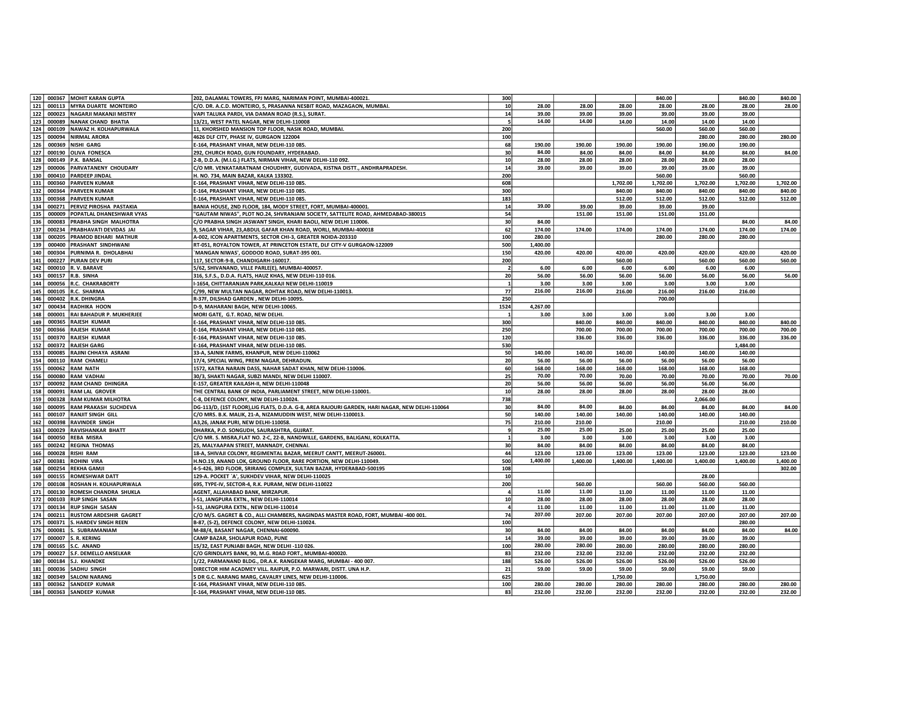| 120        |        | 000367 MOHIT KARAN GUPTA        | 202, DALAMAL TOWERS, FPJ MARG, NARIMAN POINT, MUMBAI-400021                                     | 300                     |          |          |          | 840.00   |          | 840.00   | 840.00   |
|------------|--------|---------------------------------|-------------------------------------------------------------------------------------------------|-------------------------|----------|----------|----------|----------|----------|----------|----------|
| 121        | 000113 | <b>MYRA DUARTE MONTEIRO</b>     | C/O. DR. A.C.D. MONTEIRO, 5, PRASANNA NESBIT ROAD, MAZAGAON, MUMBAI.                            | 10                      | 28.00    | 28.00    | 28.00    | 28.00    | 28.00    | 28.00    | 28.00    |
| 122        |        | 000023 NAGARJI MAKANJI MISTRY   | VAPI TALUKA PARDI, VIA DAMAN ROAD (R.S.), SURAT.                                                | 14                      | 39.00    | 39.00    | 39.00    | 39.00    | 39.00    | 39.00    |          |
| 123        | 000089 | NANAK CHAND BHATIA              | 13/21. WEST PATEL NAGAR. NEW DELHI-110008                                                       | 5                       | 14.00    | 14.00    | 14.00    | 14.00    | 14.00    | 14.00    |          |
| 124        |        | 000109 NAWAZ H. KOLHAPURWALA    | 11, KHORSHED MANSION TOP FLOOR, NASIK ROAD, MUMBAI.                                             | 200                     |          |          |          | 560.00   | 560.00   | 560.00   |          |
|            |        | NIRMAL ARORA                    |                                                                                                 |                         |          |          |          |          |          |          |          |
| 125        | 000094 |                                 | 4626 DLF CITY, PHASE IV, GURGAON 122004                                                         | 100                     |          |          |          |          | 280.00   | 280.00   | 280.00   |
| 126        | 000369 | <b>NISHI GARG</b>               | E-164, PRASHANT VIHAR, NEW DELHI-110 085                                                        | 68                      | 190.00   | 190.00   | 190.00   | 190.00   | 190.00   | 190.00   |          |
| 127        | 000190 | <b>OLIVA FONESCA</b>            | 292, CHURCH ROAD, GUN FOUNDARY, HYDERABAD.                                                      | 30                      | 84.00    | 84.00    | 84.00    | 84.00    | 84.00    | 84.00    | 84.00    |
| 128        |        | 000149 P.K. BANSAL              | 2-B, D.D.A. (M.I.G.) FLATS, NIRMAN VIHAR, NEW DELHI-110 092.                                    | 10 <sup>1</sup>         | 28.00    | 28.00    | 28.00    | 28.00    | 28.00    | 28.00    |          |
| 129        | 000006 | <b>PARVATANENY CHOUDARY</b>     | C/O MR. VENKATARATNAM CHOUDHRY, GUDIVADA, KISTNA DISTT., ANDHRAPRADESH.                         | 14                      | 39.00    | 39.00    | 39.00    | 39.00    | 39.00    | 39.00    |          |
| 130        |        | 000410 PARDEEP JINDAL           | H. NO. 734, MAIN BAZAR, KALKA 133302.                                                           | 200                     |          |          |          | 560.00   |          | 560.00   |          |
| 131        | 000360 | <b>PARVEEN KUMAR</b>            | E-164, PRASHANT VIHAR, NEW DELHI-110 085.                                                       | 608                     |          |          | 1,702.00 | 1,702.00 | 1,702.00 | 1,702.00 | 1,702.00 |
| 132        |        | 000364 PARVEEN KUMAR            | E-164, PRASHANT VIHAR, NEW DELHI-110 085                                                        | 300                     |          |          | 840.00   | 840.00   | 840.00   | 840.00   | 840.00   |
| 133        | 000368 | <b>PARVEEN KUMAR</b>            | E-164, PRASHANT VIHAR, NEW DELHI-110 085                                                        | 183                     |          |          | 512.00   | 512.00   | 512.00   | 512.00   | 512.00   |
| 134        | 000271 | PERVIZ PIROSHA PASTAKIA         | BANIA HOUSE, 2ND FLOOR, 184, MODY STREET, FORT, MUMBAI-400001                                   | 14                      | 39.00    | 39.00    | 39.00    | 39.00    | 39.00    |          |          |
| 135        | 000009 | POPATLAL DHANESHWAR VYAS        | 'GAUTAM NIWAS", PLOT NO.24, SHVRANJANI SOCIETY, SATTELITE ROAD, AHMEDABAD-380015                | 54                      |          | 151.00   | 151.00   | 151.00   | 151.00   |          |          |
| 136        | 000083 | PRABHA SINGH MALHOTRA           | C/O PRABHA SINGH JASWANT SINGH, KHARI BAOLI, NEW DELHI 110006                                   | 30                      | 84.00    |          |          |          |          | 84.00    | 84.00    |
| 137        | 000234 | PRABHAVATI DEVIDAS JAI          | 9, SAGAR VIHAR, 23, ABDUL GAFAR KHAN ROAD, WORLI, MUMBAI-400018                                 | 62                      | 174.00   | 174.00   | 174.00   | 174.00   | 174.00   | 174.00   | 174.00   |
| 138        | 000205 | PRAMOD BEHARI MATHUR            | A-002, ICON APARTMENTS, SECTOR CHI-3, GREATER NOIDA-203310                                      | 100                     | 280.00   |          |          | 280.00   | 280.00   | 280.00   |          |
| 139        | 000400 | <b>PRASHANT SINDHWANI</b>       | RT-051, ROYALTON TOWER, AT PRINCETON ESTATE, DLF CITY-V GURGAON-122009                          | 500                     | 1,400.00 |          |          |          |          |          |          |
| 140        | 000304 | PURNIMA R. DHOLABHAI            | 'MANGAN NIWAS', GODDOD ROAD, SURAT-395 001.                                                     | 150                     | 420.00   | 420.00   | 420.00   | 420.00   | 420.00   | 420.00   | 420.00   |
| 141        | 000227 | <b>PURAN DEV PURI</b>           | 117, SECTOR-9-B, CHANDIGARH-160017.                                                             | 200                     |          |          | 560.00   |          | 560.00   | 560.00   | 560.00   |
| 142        |        | 000010 R.V. BARAVE              | 5/62, SHIVANAND, VILLE PARLE(E), MUMBAI-400057.                                                 | $\overline{\mathbf{2}}$ | 6.00     | 6.00     | 6.00     | 6.00     | 6.00     | 6.00     |          |
| 143        |        | 000157 R.B. SINHA               | 316, S.F.S., D.D.A. FLATS, HAUZ KHAS, NEW DELHI-110 016.                                        | 20                      | 56.00    | 56.00    | 56.00    | 56.00    | 56.00    | 56.00    | 56.00    |
| 144        |        | 000056 R.C. CHAKRABORTY         | I-1654, CHITTARANJAN PARK, KALKAJI NEW DELHI-110019                                             |                         | 3.00     | 3.00     | 3.00     | 3.00     | 3.00     | 3.00     |          |
| 145        |        | 000105 R.C. SHARMA              | C/99, NEW MULTAN NAGAR, ROHTAK ROAD, NEW DELHI-110013.                                          | 77                      | 216.00   | 216.00   | 216.00   | 216.00   | 216.00   | 216.00   |          |
| 146        |        | 000402 R.K. DHINGRA             | R-37F, DILSHAD GARDEN, NEW DELHI-10095                                                          | 250                     |          |          |          | 700.00   |          |          |          |
| 147        |        | 000434 RADHIKA HOON             | D-9, MAHARANI BAGH, NEW DELHI-10065.                                                            | 1524                    | 4,267.00 |          |          |          |          |          |          |
| 148        |        | 000001 RAI BAHADUR P. MUKHERJEE | MORI GATE, G.T. ROAD, NEW DELHI.                                                                | $\mathbf{1}$            | 3.00     | 3.00     | 3.00     | 3.00     | 3.00     | 3.00     |          |
| 149        | 000365 | <b>RAJESH KUMAR</b>             | E-164, PRASHANT VIHAR, NEW DELHI-110 085                                                        | 300                     |          | 840.00   | 840.00   | 840.00   | 840.00   | 840.00   | 840.00   |
| 150        | 000366 | <b>RAJESH KUMAR</b>             | E-164, PRASHANT VIHAR, NEW DELHI-110 085                                                        | 250                     |          | 700.00   | 700.00   | 700.00   | 700.00   | 700.00   | 700.00   |
| 151        |        | 000370 RAJESH KUMAR             | E-164, PRASHANT VIHAR, NEW DELHI-110 085                                                        | 120                     |          | 336.00   | 336.00   | 336.00   | 336.00   | 336.00   | 336.00   |
| 152        | 000372 | <b>RAJESH GARG</b>              | E-164, PRASHANT VIHAR, NEW DELHI-110 085                                                        | 530                     |          |          |          |          |          | 1,484.00 |          |
| 153        | 000085 | RAJINI CHHAYA ASRANI            | 33-A, SAINIK FARMS, KHANPUR, NEW DELHI-110062                                                   | 50                      | 140.00   | 140.00   | 140.00   | 140.00   | 140.00   | 140.00   |          |
| 154        | 000110 | <b>RAM CHAMELI</b>              | 17/4, SPECIAL WING, PREM NAGAR, DEHRADUN.                                                       | 20                      | 56.00    | 56.00    | 56.00    | 56.00    | 56.00    | 56.00    |          |
| 155        |        | 000062 RAM NATH                 |                                                                                                 | 60                      | 168.00   | 168.00   | 168.00   | 168.00   | 168.00   | 168.00   |          |
|            | 000080 | <b>RAM VADHAI</b>               | 1572, KATRA NARAIN DASS, NAHAR SADAT KHAN, NEW DELHI-110006.                                    | 25                      | 70.00    | 70.00    | 70.00    | 70.00    | 70.00    | 70.00    | 70.00    |
| 156<br>157 | 000092 |                                 | 30/3, SHAKTI NAGAR, SUBZI MANDI, NEW DELHI 110007.                                              | 20                      | 56.00    | 56.00    |          |          |          |          |          |
|            |        | <b>RAM CHAND DHINGRA</b>        | E-157, GREATER KAILASH-II, NEW DELHI-110048                                                     |                         | 28.00    | 28.00    | 56.00    | 56.00    | 56.00    | 56.00    |          |
| 158        | 000091 | <b>RAM LAL GROVER</b>           | THE CENTRAL BANK OF INDIA, PARLIAMENT STREET, NEW DELHI-110001.                                 | 10                      |          |          | 28.00    | 28.00    | 28.00    | 28.00    |          |
| 159        | 000328 | <b>RAM KUMAR MILHOTRA</b>       | C-8, DEFENCE COLONY, NEW DELHI-110024.                                                          | 738                     |          |          |          |          | 2,066.00 |          |          |
| 160        | 000095 | RAM PRAKASH SUCHDEVA            | DG-113/D, (1ST FLOOR), LIG FLATS, D.D.A. G-8, AREA RAJOURI GARDEN, HARI NAGAR, NEW DELHI-110064 | 30                      | 84.00    | 84.00    | 84.00    | 84.00    | 84.00    | 84.00    | 84.00    |
| 161        |        | 000107 RANJIT SINGH GILL        | C/O MRS. B.K. MALIK, 21-A, NIZAMUDDIN WEST, NEW DELHI-1100013.                                  | 50                      | 140.00   | 140.00   | 140.00   | 140.00   | 140.00   | 140.00   |          |
| 162        |        | 000398 RAVINDER SINGH           | A3,26, JANAK PURI, NEW DELHI-110058                                                             | 75                      | 210.00   | 210.00   |          | 210.00   |          | 210.00   | 210.00   |
| 163        | 000029 | <b>RAVISHANKAR BHATT</b>        | DHARKA, P.O. SONGUDH, SAURASHTRA, GUJRAT.                                                       | -9                      | 25.00    | 25.00    | 25.00    | 25.00    | 25.00    | 25.00    |          |
| 164        | 000050 | <b>REBA MISRA</b>               | C/O MR. S. MISRA, FLAT NO. 2-C, 22-B, NANDWILLE, GARDENS, BALIGANJ, KOLKATTA.                   | $\mathbf{1}$            | 3.00     | 3.00     | 3.00     | 3.00     | 3.00     | 3.00     |          |
| 165        |        | 000242 REGINA THOMAS            | 25, MALYAAPAN STREET, MANNADY, CHENNAI.                                                         | 30                      | 84.00    | 84.00    | 84.00    | 84.00    | 84.00    | 84.00    |          |
| 166        | 000028 | <b>RISHI RAM</b>                | 18-A, SHIVAJI COLONY, REGIMENTAL BAZAR, MEERUT CANTT, MEERUT-260001.                            | 44                      | 123.00   | 123.00   | 123.00   | 123.00   | 123.00   | 123.00   | 123.00   |
| 167        | 000381 | <b>ROHINI VIRA</b>              | H.NO.19, ANAND LOK, GROUND FLOOR, RARE PORTION, NEW DELHI-110049.                               | 500                     | 1,400.00 | 1,400.00 | 1,400.00 | 1,400.00 | 1,400.00 | 1,400.00 | 1,400.00 |
| 168        |        | 000254 REKHA GAMJI              | 4-5-426, 3RD FLOOR, SRIRANG COMPLEX, SULTAN BAZAR, HYDERABAD-500195                             | 108                     |          |          |          |          |          |          | 302.00   |
| 169        | 000155 | <b>ROMESHWAR DATT</b>           | 129-A. POCKET `A', SUKHDEV VIHAR, NEW DELHI-110025                                              | 10                      |          |          |          |          | 28.00    |          |          |
| 170        | 000108 | <b>ROSHAN H. KOLHAPURWALA</b>   | 695, TYPE-IV, SECTOR-4, R.K. PURAM, NEW DELHI-110022                                            | 200                     |          | 560.00   |          | 560.00   | 560.00   | 560.00   |          |
| 171        |        | 000130 ROMESH CHANDRA SHUKLA    | AGENT, ALLAHABAD BANK, MIRZAPUR.                                                                | $\overline{4}$          | 11.00    | 11.00    | 11.00    | 11.00    | 11.00    | 11.00    |          |
| 172        | 000103 | <b>RUP SINGH SASAN</b>          | I-51, JANGPURA EXTN., NEW DELHI-110014                                                          | 10 <sup>1</sup>         | 28.00    | 28.00    | 28.00    | 28.00    | 28.00    | 28.00    |          |
| 173        | 000134 | <b>RUP SINGH SASAN</b>          | I-51, JANGPURA EXTN., NEW DELHI-110014                                                          | $\overline{a}$          | 11.00    | 11.00    | 11.00    | 11.00    | 11.00    | 11.00    |          |
| 174        | 000211 | <b>RUSTOM ARDESHIR GAGRET</b>   | C/O M/S. GAGRET & CO., ALLI CHAMBERS, NAGINDAS MASTER ROAD, FORT, MUMBAI -400 001.              | 74                      | 207.00   | 207.00   | 207.00   | 207.00   | 207.00   | 207.00   | 207.00   |
| 175        | 000371 | S. HARDEV SINGH REEN            | B-87, (S-2), DEFENCE COLONY, NEW DELHI-110024.                                                  | 100                     |          |          |          |          |          | 280.00   |          |
| 176        | 000081 | S. SUBRAMANIAM                  | M-88/4, BASANT NAGAR, CHENNAI-600090.                                                           | 30                      | 84.00    | 84.00    | 84.00    | 84.00    | 84.00    | 84.00    | 84.00    |
| 177        | 000007 | S. R. KERING                    | CAMP BAZAR, SHOLAPUR ROAD, PUNE                                                                 | 14                      | 39.00    | 39.00    | 39.00    | 39.00    | 39.00    | 39.00    |          |
| 178        |        | 000165 S.C. ANAND               | 15/32, EAST PUNJABI BAGH, NEW DELHI -110 026.                                                   | 100                     | 280.00   | 280.00   | 280.00   | 280.00   | 280.00   | 280.00   |          |
| 179        |        | 000027 S.F. DEMELLO ANSELKAR    | C/O GRINDLAYS BANK, 90, M.G. R0AD FORT., MUMBAI-400020.                                         | 83                      | 232.00   | 232.00   | 232.00   | 232.00   | 232.00   | 232.00   |          |
| 180        | 000184 | <b>S.J. KHANDKE</b>             | 1/22, PARMANAND BLDG., DR.A.K. RANGEKAR MARG, MUMBAI - 400 007.                                 | 188                     | 526.00   | 526.00   | 526.00   | 526.00   | 526.00   | 526.00   |          |
| 181        |        | 000036 SADHU SINGH              | DIRECTOR HIM ACADMEY VILL. RAIPUR, P.O. MARWARI, DISTT. UNA H.P.                                | 21                      | 59.00    | 59.00    | 59.00    | 59.00    | 59.00    | 59.00    |          |
| 182        |        | 000349 SALONI NARANG            | 5 DR G.C. NARANG MARG, CAVALRY LINES, NEW DELHI-110006.                                         | 625                     |          |          | 1,750.00 |          | 1,750.00 |          |          |
| 183        |        | 000362 SANDEEP KUMAR            | E-164, PRASHANT VIHAR, NEW DELHI-110 085.                                                       | 100                     | 280.00   | 280.00   | 280.00   | 280.00   | 280.00   | 280.00   | 280.00   |
| 184        |        | 000363 SANDEEP KUMAR            | E-164, PRASHANT VIHAR, NEW DELHI-110 085.                                                       | 83                      | 232.00   | 232.00   | 232.00   | 232.00   | 232.00   | 232.00   | 232.00   |